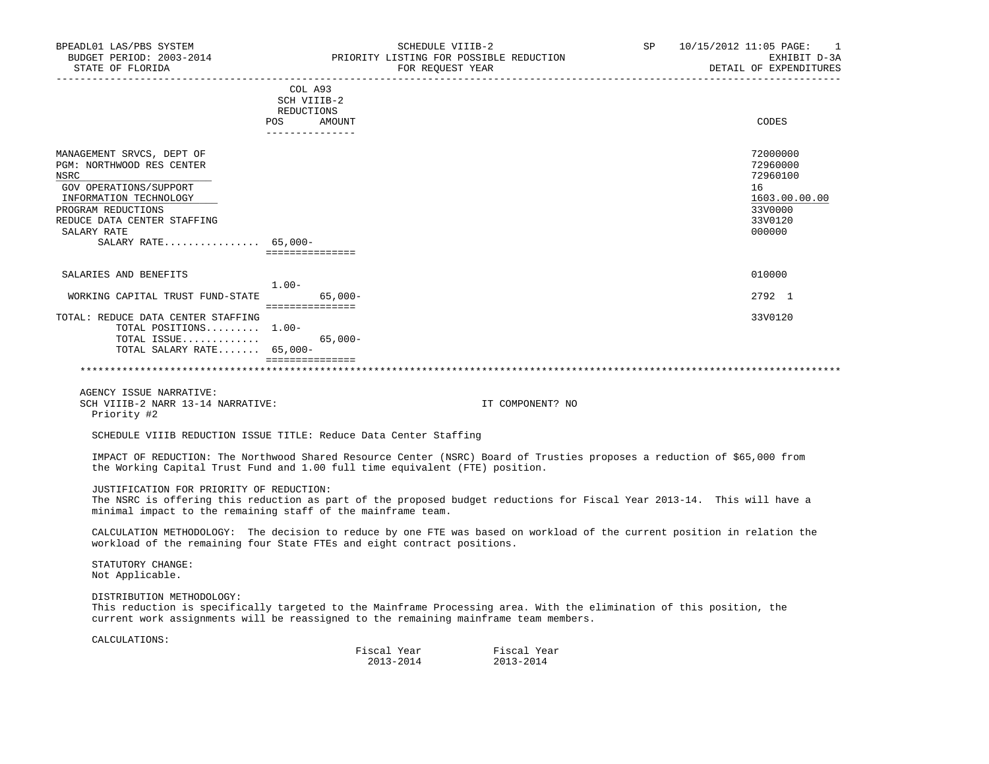| BPEADL01 LAS/PBS SYSTEM<br>BUDGET PERIOD: 2003-2014<br>STATE OF FLORIDA                                                                                                                                         | SCHEDULE VIIIB-2<br>PRIORITY LISTING FOR POSSIBLE REDUCTION<br>FOR REQUEST YEAR                                                                                                                              | SP               | 10/15/2012 11:05 PAGE:<br>-1<br>EXHIBIT D-3A<br>DETAIL OF EXPENDITURES                  |
|-----------------------------------------------------------------------------------------------------------------------------------------------------------------------------------------------------------------|--------------------------------------------------------------------------------------------------------------------------------------------------------------------------------------------------------------|------------------|-----------------------------------------------------------------------------------------|
|                                                                                                                                                                                                                 | COL A93<br>SCH VIIIB-2<br>REDUCTIONS<br>POS AMOUNT<br>_______________                                                                                                                                        |                  | CODES                                                                                   |
| MANAGEMENT SRVCS, DEPT OF<br>PGM: NORTHWOOD RES CENTER<br>NSRC<br>GOV OPERATIONS/SUPPORT<br>INFORMATION TECHNOLOGY<br>PROGRAM REDUCTIONS<br>REDUCE DATA CENTER STAFFING<br>SALARY RATE<br>SALARY RATE $65,000-$ | ===============                                                                                                                                                                                              |                  | 72000000<br>72960000<br>72960100<br>16<br>1603.00.00.00<br>33V0000<br>33V0120<br>000000 |
| SALARIES AND BENEFITS                                                                                                                                                                                           |                                                                                                                                                                                                              |                  | 010000                                                                                  |
| WORKING CAPITAL TRUST FUND-STATE 65,000-                                                                                                                                                                        | $1.00-$                                                                                                                                                                                                      |                  | 2792 1                                                                                  |
| TOTAL: REDUCE DATA CENTER STAFFING<br>TOTAL POSITIONS $1.00-$<br>TOTAL ISSUE<br>TOTAL SALARY RATE 65,000-                                                                                                       | $65,000-$<br>_________________                                                                                                                                                                               |                  | 33V0120                                                                                 |
| AGENCY ISSUE NARRATIVE:<br>SCH VIIIB-2 NARR 13-14 NARRATIVE:<br>Priority #2                                                                                                                                     |                                                                                                                                                                                                              | IT COMPONENT? NO |                                                                                         |
|                                                                                                                                                                                                                 | SCHEDULE VIIIB REDUCTION ISSUE TITLE: Reduce Data Center Staffing                                                                                                                                            |                  |                                                                                         |
|                                                                                                                                                                                                                 | IMPACT OF REDUCTION: The Northwood Shared Resource Center (NSRC) Board of Trusties proposes a reduction of \$65,000 from<br>the Working Capital Trust Fund and 1.00 full time equivalent (FTE) position.     |                  |                                                                                         |
| JUSTIFICATION FOR PRIORITY OF REDUCTION:                                                                                                                                                                        | The NSRC is offering this reduction as part of the proposed budget reductions for Fiscal Year 2013-14. This will have a<br>minimal impact to the remaining staff of the mainframe team.                      |                  |                                                                                         |
|                                                                                                                                                                                                                 | CALCULATION METHODOLOGY: The decision to reduce by one FTE was based on workload of the current position in relation the<br>workload of the remaining four State FTEs and eight contract positions.          |                  |                                                                                         |
| STATUTORY CHANGE:<br>Not Applicable.                                                                                                                                                                            |                                                                                                                                                                                                              |                  |                                                                                         |
| DISTRIBUTION METHODOLOGY:                                                                                                                                                                                       | This reduction is specifically targeted to the Mainframe Processing area. With the elimination of this position, the<br>current work assignments will be reassigned to the remaining mainframe team members. |                  |                                                                                         |
| CALCULATIONS:                                                                                                                                                                                                   |                                                                                                                                                                                                              |                  |                                                                                         |
|                                                                                                                                                                                                                 | Fiscal Year Fiscal Year<br>2013-2014                                                                                                                                                                         | 2013-2014        |                                                                                         |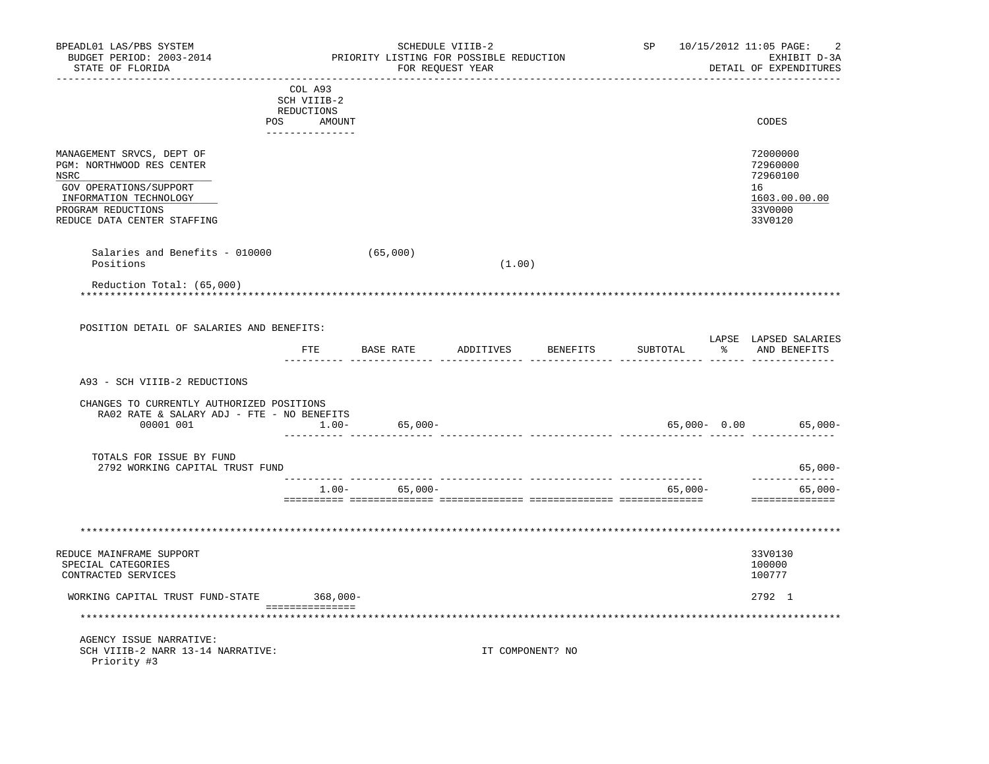| BPEADL01 LAS/PBS SYSTEM<br>BUDGET PERIOD: 2003-2014<br>STATE OF FLORIDA                                                                                                 |                                                                       | SCHEDULE VIIIB-2<br>PRIORITY LISTING FOR POSSIBLE REDUCTION<br>FOR REQUEST YEAR |        | ------------------- |          | SP 10/15/2012 11:05 PAGE:<br>2<br>EXHIBIT D-3A<br>DETAIL OF EXPENDITURES      |
|-------------------------------------------------------------------------------------------------------------------------------------------------------------------------|-----------------------------------------------------------------------|---------------------------------------------------------------------------------|--------|---------------------|----------|-------------------------------------------------------------------------------|
|                                                                                                                                                                         | COL A93<br>SCH VIIIB-2<br>REDUCTIONS<br>POS AMOUNT<br>_______________ |                                                                                 |        |                     |          | CODES                                                                         |
| MANAGEMENT SRVCS, DEPT OF<br>PGM: NORTHWOOD RES CENTER<br>NSRC<br>GOV OPERATIONS/SUPPORT<br>INFORMATION TECHNOLOGY<br>PROGRAM REDUCTIONS<br>REDUCE DATA CENTER STAFFING |                                                                       |                                                                                 |        |                     |          | 72000000<br>72960000<br>72960100<br>16<br>1603.00.00.00<br>33V0000<br>33V0120 |
| Salaries and Benefits - 010000<br>Positions                                                                                                                             |                                                                       | (65,000)                                                                        | (1.00) |                     |          |                                                                               |
| Reduction Total: (65,000)                                                                                                                                               |                                                                       |                                                                                 |        |                     |          |                                                                               |
| POSITION DETAIL OF SALARIES AND BENEFITS:                                                                                                                               |                                                                       |                                                                                 |        |                     |          | LAPSE LAPSED SALARIES                                                         |
|                                                                                                                                                                         |                                                                       | FTE BASE RATE ADDITIVES BENEFITS                                                |        |                     | SUBTOTAL | % AND BENEFITS                                                                |
| A93 - SCH VIIIB-2 REDUCTIONS                                                                                                                                            |                                                                       |                                                                                 |        |                     |          |                                                                               |
| CHANGES TO CURRENTLY AUTHORIZED POSITIONS<br>RA02 RATE & SALARY ADJ - FTE - NO BENEFITS<br>00001 001                                                                    | $1.00-$                                                               | $65,000-$<br>____________________________                                       |        |                     |          | 65,000- 0.00 65,000-                                                          |
| TOTALS FOR ISSUE BY FUND<br>2792 WORKING CAPITAL TRUST FUND                                                                                                             |                                                                       |                                                                                 |        |                     |          | $65,000-$                                                                     |
|                                                                                                                                                                         |                                                                       | $1.00 - 65,000 -$                                                               |        |                     | 65,000-  | --------------<br>$65,000 -$                                                  |
|                                                                                                                                                                         |                                                                       |                                                                                 |        |                     |          | ==============                                                                |
|                                                                                                                                                                         |                                                                       |                                                                                 |        |                     |          |                                                                               |
| REDUCE MAINFRAME SUPPORT<br>SPECIAL CATEGORIES<br>CONTRACTED SERVICES                                                                                                   |                                                                       |                                                                                 |        |                     |          | 33V0130<br>100000<br>100777                                                   |
| WORKING CAPITAL TRUST FUND-STATE                                                                                                                                        | 368,000-                                                              |                                                                                 |        |                     |          | 2792 1                                                                        |
|                                                                                                                                                                         |                                                                       |                                                                                 |        |                     |          |                                                                               |
| AGENCY ISSUE NARRATIVE:<br>SCH VIIIB-2 NARR 13-14 NARRATIVE:<br>Priority #3                                                                                             |                                                                       |                                                                                 |        | IT COMPONENT? NO    |          |                                                                               |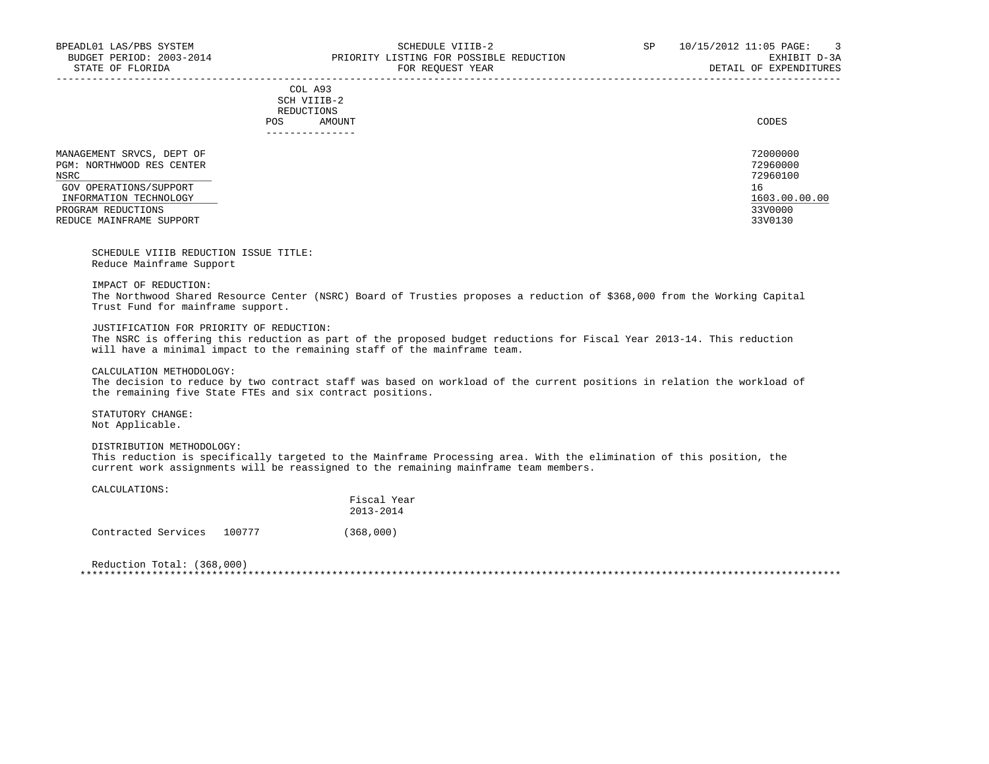-----------------------------------------------------------------------------------------------------------------------------------

|     | --------------- |       |
|-----|-----------------|-------|
| POS | AMOUNT          | CODES |
|     | REDUCTIONS      |       |
|     | SCH VIIIB-2     |       |
|     | COL A93         |       |

 MANAGEMENT SRVCS, DEPT OF 72000000 PGM: NORTHWOOD RES CENTER 72960000<br>NSRC 72960100 NSRC 72960100 \_\_\_\_\_\_\_\_\_\_\_\_\_\_\_\_\_\_\_\_\_\_\_\_\_\_

GOV OPERATIONS/SUPPORT 16<br>
INFORMATION TECHNOLOGY 1603.00.00

## INFORMATION TECHNOLOGY 1603.00.00.00 \_\_\_\_\_\_\_\_\_\_\_\_\_\_\_\_\_\_\_\_\_\_\_\_\_\_ \_\_\_\_\_\_\_\_\_\_\_\_\_ PROGRAM REDUCTIONS 33V0000 33V0000 33V0000 33V0000 33V0000 33V0000 33V0000 33V0000 33V0000 33V0000 33V0000 33V0000 33V0000 33V0130 REDUCE MAINFRAME SUPPORT

 SCHEDULE VIIIB REDUCTION ISSUE TITLE: Reduce Mainframe Support

IMPACT OF REDUCTION:

 The Northwood Shared Resource Center (NSRC) Board of Trusties proposes a reduction of \$368,000 from the Working Capital Trust Fund for mainframe support.

## JUSTIFICATION FOR PRIORITY OF REDUCTION:

 The NSRC is offering this reduction as part of the proposed budget reductions for Fiscal Year 2013-14. This reduction will have a minimal impact to the remaining staff of the mainframe team.

CALCULATION METHODOLOGY:

 The decision to reduce by two contract staff was based on workload of the current positions in relation the workload of the remaining five State FTEs and six contract positions.

 STATUTORY CHANGE: Not Applicable.

DISTRIBUTION METHODOLOGY:

 This reduction is specifically targeted to the Mainframe Processing area. With the elimination of this position, the current work assignments will be reassigned to the remaining mainframe team members.

CALCULATIONS:

|                     |        | Fiscal Year<br>$2013 - 2014$ |
|---------------------|--------|------------------------------|
| Contracted Services | 100777 | (368,000)                    |

 Reduction Total: (368,000) \*\*\*\*\*\*\*\*\*\*\*\*\*\*\*\*\*\*\*\*\*\*\*\*\*\*\*\*\*\*\*\*\*\*\*\*\*\*\*\*\*\*\*\*\*\*\*\*\*\*\*\*\*\*\*\*\*\*\*\*\*\*\*\*\*\*\*\*\*\*\*\*\*\*\*\*\*\*\*\*\*\*\*\*\*\*\*\*\*\*\*\*\*\*\*\*\*\*\*\*\*\*\*\*\*\*\*\*\*\*\*\*\*\*\*\*\*\*\*\*\*\*\*\*\*\*\*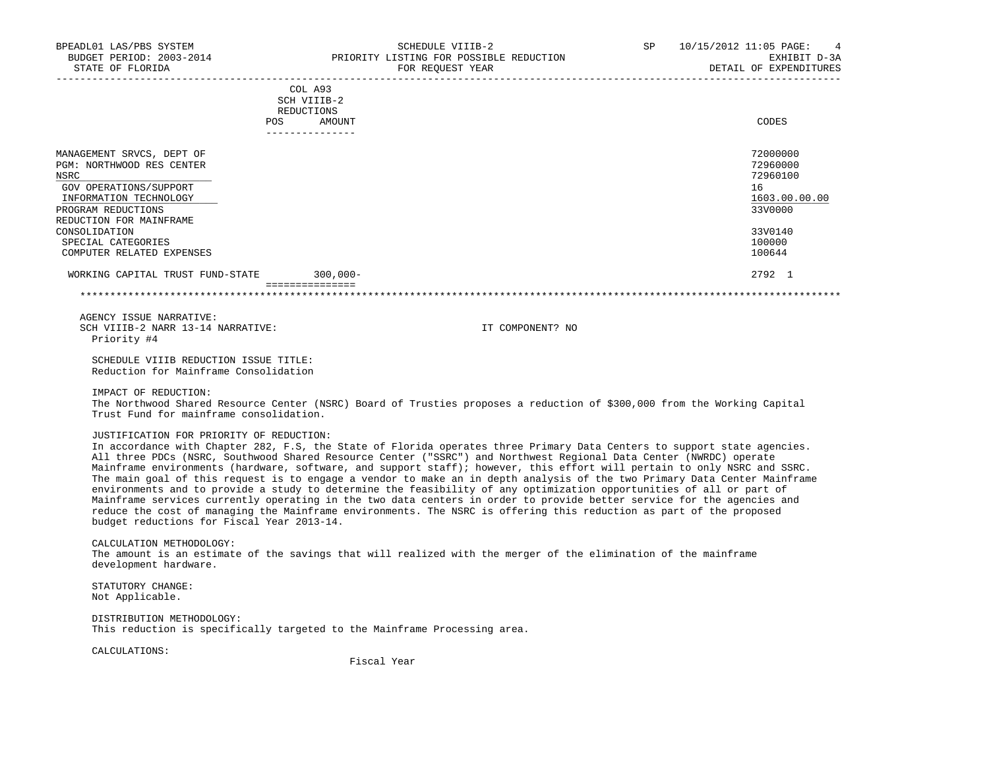|                                                                                                                                                                     | COL A93<br>SCH VIIIB-2<br>REDUCTIONS<br>AMOUNT<br><b>POS</b> | CODES                                                              |
|---------------------------------------------------------------------------------------------------------------------------------------------------------------------|--------------------------------------------------------------|--------------------------------------------------------------------|
| MANAGEMENT SRVCS, DEPT OF<br>PGM: NORTHWOOD RES CENTER<br>NSRC<br>GOV OPERATIONS/SUPPORT<br>INFORMATION TECHNOLOGY<br>PROGRAM REDUCTIONS<br>REDUCTION FOR MAINFRAME |                                                              | 72000000<br>72960000<br>72960100<br>16<br>1603.00.00.00<br>33V0000 |
| CONSOLIDATION<br>SPECIAL CATEGORIES<br>COMPUTER RELATED EXPENSES                                                                                                    |                                                              | 33V0140<br>100000<br>100644                                        |
| WORKING CAPITAL TRUST FUND-STATE                                                                                                                                    | $300,000 -$                                                  | 2792 1                                                             |
|                                                                                                                                                                     |                                                              |                                                                    |

 AGENCY ISSUE NARRATIVE: SCH VIIIB-2 NARR 13-14 NARRATIVE: IT COMPONENT? NO Priority #4

 SCHEDULE VIIIB REDUCTION ISSUE TITLE: Reduction for Mainframe Consolidation

IMPACT OF REDUCTION:

 The Northwood Shared Resource Center (NSRC) Board of Trusties proposes a reduction of \$300,000 from the Working Capital Trust Fund for mainframe consolidation.

JUSTIFICATION FOR PRIORITY OF REDUCTION:

 In accordance with Chapter 282, F.S, the State of Florida operates three Primary Data Centers to support state agencies. All three PDCs (NSRC, Southwood Shared Resource Center ("SSRC") and Northwest Regional Data Center (NWRDC) operate Mainframe environments (hardware, software, and support staff); however, this effort will pertain to only NSRC and SSRC. The main goal of this request is to engage a vendor to make an in depth analysis of the two Primary Data Center Mainframe environments and to provide a study to determine the feasibility of any optimization opportunities of all or part of Mainframe services currently operating in the two data centers in order to provide better service for the agencies and reduce the cost of managing the Mainframe environments. The NSRC is offering this reduction as part of the proposed budget reductions for Fiscal Year 2013-14.

## CALCULATION METHODOLOGY: The amount is an estimate of the savings that will realized with the merger of the elimination of the mainframe development hardware.

 STATUTORY CHANGE: Not Applicable.

 DISTRIBUTION METHODOLOGY: This reduction is specifically targeted to the Mainframe Processing area.

CALCULATIONS:

Fiscal Year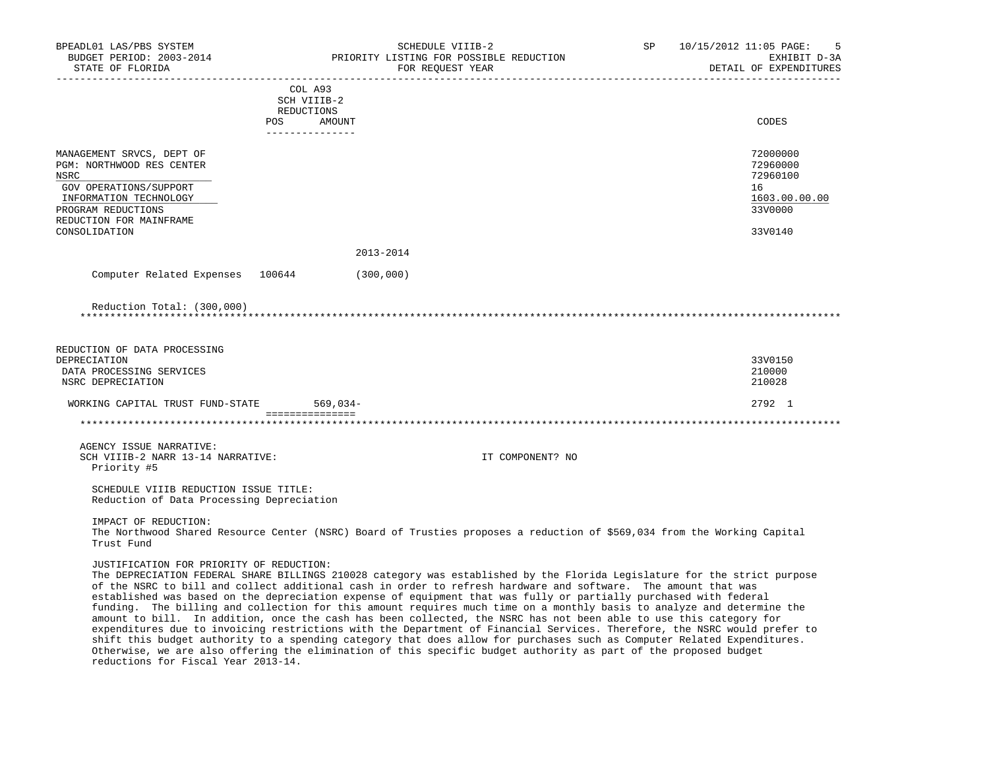| BPEADL01 LAS/PBS SYSTEM<br>BUDGET PERIOD: 2003-2014<br>STATE OF FLORIDA                                                                                             | SCHEDULE VIIIB-2<br>PRIORITY LISTING FOR POSSIBLE REDUCTION<br>FOR REQUEST YEAR                                                                                                                                                                                                                                                                                                                                                                                                                                                                                                                                                                                                                                                                                                                                                                                                                                                                                                              | SP | 10/15/2012 11:05 PAGE:<br>-5<br>EXHIBIT D-3A<br>DETAIL OF EXPENDITURES |
|---------------------------------------------------------------------------------------------------------------------------------------------------------------------|----------------------------------------------------------------------------------------------------------------------------------------------------------------------------------------------------------------------------------------------------------------------------------------------------------------------------------------------------------------------------------------------------------------------------------------------------------------------------------------------------------------------------------------------------------------------------------------------------------------------------------------------------------------------------------------------------------------------------------------------------------------------------------------------------------------------------------------------------------------------------------------------------------------------------------------------------------------------------------------------|----|------------------------------------------------------------------------|
|                                                                                                                                                                     | COL A93                                                                                                                                                                                                                                                                                                                                                                                                                                                                                                                                                                                                                                                                                                                                                                                                                                                                                                                                                                                      |    |                                                                        |
|                                                                                                                                                                     | SCH VIIIB-2                                                                                                                                                                                                                                                                                                                                                                                                                                                                                                                                                                                                                                                                                                                                                                                                                                                                                                                                                                                  |    |                                                                        |
|                                                                                                                                                                     | REDUCTIONS<br>POS AMOUNT                                                                                                                                                                                                                                                                                                                                                                                                                                                                                                                                                                                                                                                                                                                                                                                                                                                                                                                                                                     |    | CODES                                                                  |
|                                                                                                                                                                     | _______________                                                                                                                                                                                                                                                                                                                                                                                                                                                                                                                                                                                                                                                                                                                                                                                                                                                                                                                                                                              |    |                                                                        |
| MANAGEMENT SRVCS, DEPT OF<br>PGM: NORTHWOOD RES CENTER<br>NSRC<br>GOV OPERATIONS/SUPPORT<br>INFORMATION TECHNOLOGY<br>PROGRAM REDUCTIONS<br>REDUCTION FOR MAINFRAME |                                                                                                                                                                                                                                                                                                                                                                                                                                                                                                                                                                                                                                                                                                                                                                                                                                                                                                                                                                                              |    | 72000000<br>72960000<br>72960100<br>16<br>1603.00.00.00<br>33V0000     |
| CONSOLIDATION                                                                                                                                                       |                                                                                                                                                                                                                                                                                                                                                                                                                                                                                                                                                                                                                                                                                                                                                                                                                                                                                                                                                                                              |    | 33V0140                                                                |
|                                                                                                                                                                     | 2013-2014                                                                                                                                                                                                                                                                                                                                                                                                                                                                                                                                                                                                                                                                                                                                                                                                                                                                                                                                                                                    |    |                                                                        |
| Computer Related Expenses 100644                                                                                                                                    | (300, 000)                                                                                                                                                                                                                                                                                                                                                                                                                                                                                                                                                                                                                                                                                                                                                                                                                                                                                                                                                                                   |    |                                                                        |
| Reduction Total: (300,000)                                                                                                                                          |                                                                                                                                                                                                                                                                                                                                                                                                                                                                                                                                                                                                                                                                                                                                                                                                                                                                                                                                                                                              |    |                                                                        |
|                                                                                                                                                                     |                                                                                                                                                                                                                                                                                                                                                                                                                                                                                                                                                                                                                                                                                                                                                                                                                                                                                                                                                                                              |    |                                                                        |
| REDUCTION OF DATA PROCESSING<br>DEPRECIATION                                                                                                                        |                                                                                                                                                                                                                                                                                                                                                                                                                                                                                                                                                                                                                                                                                                                                                                                                                                                                                                                                                                                              |    | 33V0150                                                                |
| DATA PROCESSING SERVICES                                                                                                                                            |                                                                                                                                                                                                                                                                                                                                                                                                                                                                                                                                                                                                                                                                                                                                                                                                                                                                                                                                                                                              |    | 210000                                                                 |
| NSRC DEPRECIATION                                                                                                                                                   |                                                                                                                                                                                                                                                                                                                                                                                                                                                                                                                                                                                                                                                                                                                                                                                                                                                                                                                                                                                              |    | 210028                                                                 |
| WORKING CAPITAL TRUST FUND-STATE                                                                                                                                    | $569,034-$                                                                                                                                                                                                                                                                                                                                                                                                                                                                                                                                                                                                                                                                                                                                                                                                                                                                                                                                                                                   |    | 2792 1                                                                 |
|                                                                                                                                                                     |                                                                                                                                                                                                                                                                                                                                                                                                                                                                                                                                                                                                                                                                                                                                                                                                                                                                                                                                                                                              |    |                                                                        |
|                                                                                                                                                                     |                                                                                                                                                                                                                                                                                                                                                                                                                                                                                                                                                                                                                                                                                                                                                                                                                                                                                                                                                                                              |    |                                                                        |
| AGENCY ISSUE NARRATIVE:<br>SCH VIIIB-2 NARR 13-14 NARRATIVE:                                                                                                        | IT COMPONENT? NO                                                                                                                                                                                                                                                                                                                                                                                                                                                                                                                                                                                                                                                                                                                                                                                                                                                                                                                                                                             |    |                                                                        |
| Priority #5                                                                                                                                                         |                                                                                                                                                                                                                                                                                                                                                                                                                                                                                                                                                                                                                                                                                                                                                                                                                                                                                                                                                                                              |    |                                                                        |
| SCHEDULE VIIIB REDUCTION ISSUE TITLE:<br>Reduction of Data Processing Depreciation                                                                                  |                                                                                                                                                                                                                                                                                                                                                                                                                                                                                                                                                                                                                                                                                                                                                                                                                                                                                                                                                                                              |    |                                                                        |
| IMPACT OF REDUCTION:<br>Trust Fund                                                                                                                                  | The Northwood Shared Resource Center (NSRC) Board of Trusties proposes a reduction of \$569,034 from the Working Capital                                                                                                                                                                                                                                                                                                                                                                                                                                                                                                                                                                                                                                                                                                                                                                                                                                                                     |    |                                                                        |
| JUSTIFICATION FOR PRIORITY OF REDUCTION:<br>reductions for Fiscal Year 2013-14.                                                                                     | The DEPRECIATION FEDERAL SHARE BILLINGS 210028 category was established by the Florida Legislature for the strict purpose<br>of the NSRC to bill and collect additional cash in order to refresh hardware and software. The amount that was<br>established was based on the depreciation expense of equipment that was fully or partially purchased with federal<br>funding. The billing and collection for this amount requires much time on a monthly basis to analyze and determine the<br>amount to bill. In addition, once the cash has been collected, the NSRC has not been able to use this category for<br>expenditures due to invoicing restrictions with the Department of Financial Services. Therefore, the NSRC would prefer to<br>shift this budget authority to a spending category that does allow for purchases such as Computer Related Expenditures.<br>Otherwise, we are also offering the elimination of this specific budget authority as part of the proposed budget |    |                                                                        |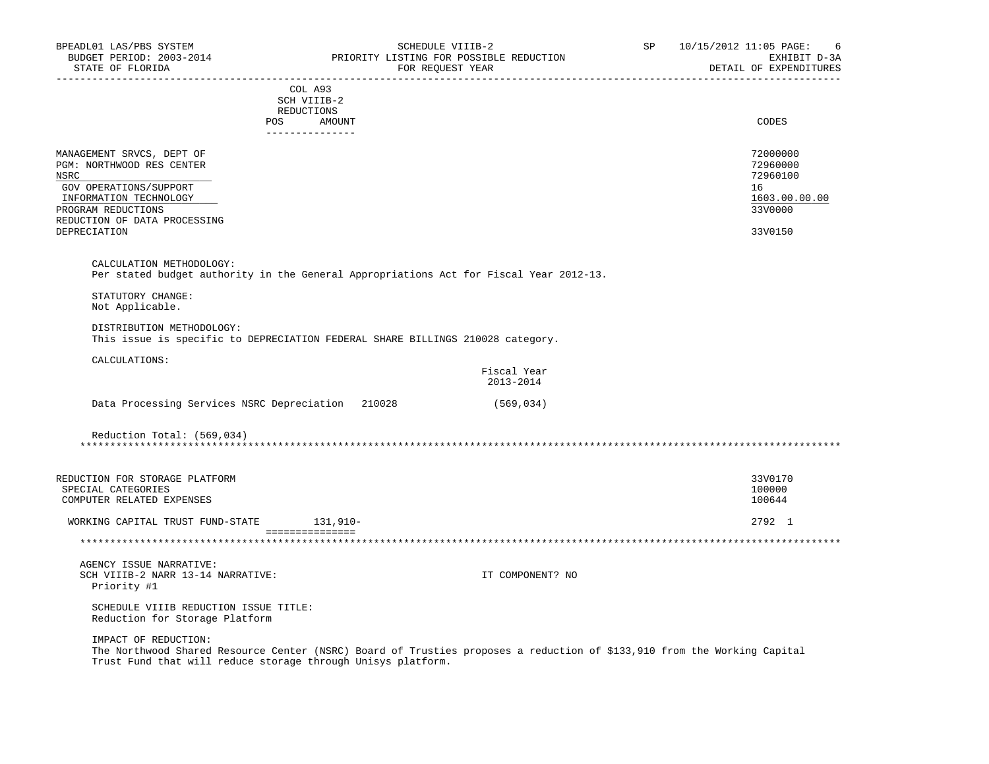| BPEADL01 LAS/PBS SYSTEM<br>BUDGET PERIOD: 2003-2014<br>STATE OF FLORIDA | PRIORITY LISTING FOR POSSIBLE REDUCTION                                                                                  | SCHEDULE VIIIB-2<br>FOR REQUEST YEAR | SP 10/15/2012 11:05 PAGE:<br>6<br>EXHIBIT D-3A<br>DETAIL OF EXPENDITURES |
|-------------------------------------------------------------------------|--------------------------------------------------------------------------------------------------------------------------|--------------------------------------|--------------------------------------------------------------------------|
|                                                                         | COL A93                                                                                                                  |                                      |                                                                          |
|                                                                         | SCH VIIIB-2                                                                                                              |                                      |                                                                          |
|                                                                         | REDUCTIONS<br>POS<br>AMOUNT                                                                                              |                                      | CODES                                                                    |
|                                                                         | _______________                                                                                                          |                                      |                                                                          |
| MANAGEMENT SRVCS, DEPT OF                                               |                                                                                                                          |                                      | 72000000                                                                 |
| PGM: NORTHWOOD RES CENTER                                               |                                                                                                                          |                                      | 72960000                                                                 |
| <b>NSRC</b>                                                             |                                                                                                                          |                                      | 72960100                                                                 |
| GOV OPERATIONS/SUPPORT                                                  |                                                                                                                          |                                      | 16                                                                       |
| INFORMATION TECHNOLOGY                                                  |                                                                                                                          |                                      | 1603.00.00.00                                                            |
| PROGRAM REDUCTIONS                                                      |                                                                                                                          |                                      | 33V0000                                                                  |
| REDUCTION OF DATA PROCESSING                                            |                                                                                                                          |                                      |                                                                          |
| DEPRECIATION                                                            |                                                                                                                          |                                      | 33V0150                                                                  |
|                                                                         |                                                                                                                          |                                      |                                                                          |
| CALCULATION METHODOLOGY:                                                | Per stated budget authority in the General Appropriations Act for Fiscal Year 2012-13.                                   |                                      |                                                                          |
|                                                                         |                                                                                                                          |                                      |                                                                          |
| STATUTORY CHANGE:<br>Not Applicable.                                    |                                                                                                                          |                                      |                                                                          |
|                                                                         |                                                                                                                          |                                      |                                                                          |
| DISTRIBUTION METHODOLOGY:                                               | This issue is specific to DEPRECIATION FEDERAL SHARE BILLINGS 210028 category.                                           |                                      |                                                                          |
| CALCULATIONS:                                                           |                                                                                                                          |                                      |                                                                          |
|                                                                         |                                                                                                                          | Fiscal Year<br>2013-2014             |                                                                          |
|                                                                         | Data Processing Services NSRC Depreciation 210028                                                                        | (569, 034)                           |                                                                          |
| Reduction Total: (569,034)                                              |                                                                                                                          |                                      |                                                                          |
| REDUCTION FOR STORAGE PLATFORM                                          |                                                                                                                          |                                      | 33V0170                                                                  |
| SPECIAL CATEGORIES                                                      |                                                                                                                          |                                      | 100000                                                                   |
| COMPUTER RELATED EXPENSES                                               |                                                                                                                          |                                      | 100644                                                                   |
| WORKING CAPITAL TRUST FUND-STATE 131,910-                               |                                                                                                                          |                                      | 2792 1                                                                   |
|                                                                         | and a concern contract of the contract of the contract of the contract of the contract of the contract of the            |                                      |                                                                          |
|                                                                         |                                                                                                                          |                                      |                                                                          |
| AGENCY ISSUE NARRATIVE:                                                 |                                                                                                                          |                                      |                                                                          |
| SCH VIIIB-2 NARR 13-14 NARRATIVE:<br>Priority #1                        |                                                                                                                          | IT COMPONENT? NO                     |                                                                          |
|                                                                         |                                                                                                                          |                                      |                                                                          |
| SCHEDULE VIIIB REDUCTION ISSUE TITLE:<br>Reduction for Storage Platform |                                                                                                                          |                                      |                                                                          |
| IMPACT OF REDUCTION:                                                    |                                                                                                                          |                                      |                                                                          |
|                                                                         | The Northwood Shared Resource Center (NSRC) Board of Trusties proposes a reduction of \$133,910 from the Working Capital |                                      |                                                                          |

 The Northwood Shared Resource Center (NSRC) Board of Trusties proposes a reduction of \$133,910 from the Working Capital Trust Fund that will reduce storage through Unisys platform.